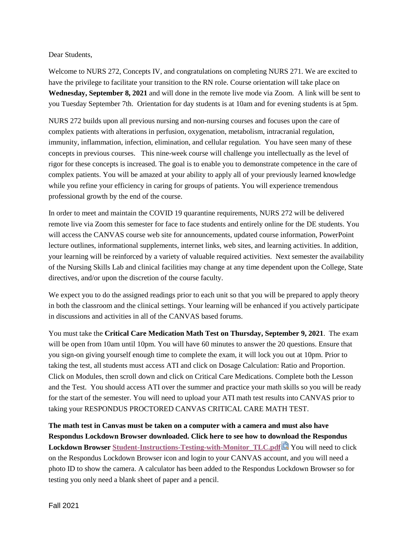Dear Students,

Welcome to NURS 272, Concepts IV, and congratulations on completing NURS 271. We are excited to have the privilege to facilitate your transition to the RN role. Course orientation will take place on **Wednesday, September 8, 2021** and will done in the remote live mode via Zoom. A link will be sent to you Tuesday September 7th. Orientation for day students is at 10am and for evening students is at 5pm.

NURS 272 builds upon all previous nursing and non-nursing courses and focuses upon the care of complex patients with alterations in perfusion, oxygenation, metabolism, intracranial regulation, immunity, inflammation, infection, elimination, and cellular regulation. You have seen many of these concepts in previous courses. This nine-week course will challenge you intellectually as the level of rigor for these concepts is increased. The goal is to enable you to demonstrate competence in the care of complex patients. You will be amazed at your ability to apply all of your previously learned knowledge while you refine your efficiency in caring for groups of patients. You will experience tremendous professional growth by the end of the course.

In order to meet and maintain the COVID 19 quarantine requirements, NURS 272 will be delivered remote live via Zoom this semester for face to face students and entirely online for the DE students. You will access the CANVAS course web site for announcements, updated course information, PowerPoint lecture outlines, informational supplements, internet links, web sites, and learning activities. In addition, your learning will be reinforced by a variety of valuable required activities. Next semester the availability of the Nursing Skills Lab and clinical facilities may change at any time dependent upon the College, State directives, and/or upon the discretion of the course faculty.

We expect you to do the assigned readings prior to each unit so that you will be prepared to apply theory in both the classroom and the clinical settings. Your learning will be enhanced if you actively participate in discussions and activities in all of the CANVAS based forums.

You must take the **Critical Care Medication Math Test on Thursday, September 9, 2021**. The exam will be open from 10am until 10pm. You will have 60 minutes to answer the 20 questions. Ensure that you sign-on giving yourself enough time to complete the exam, it will lock you out at 10pm. Prior to taking the test, all students must access ATI and click on Dosage Calculation: Ratio and Proportion. Click on Modules, then scroll down and click on Critical Care Medications. Complete both the Lesson and the Test. You should access ATI over the summer and practice your math skills so you will be ready for the start of the semester. You will need to upload your ATI math test results into CANVAS prior to taking your RESPONDUS PROCTORED CANVAS CRITICAL CARE MATH TEST.

**The math test in Canvas must be taken on a computer with a camera and must also have Respondus Lockdown Browser downloaded. Click here to see how to download the Respondus Lockdown Browser [Student-Instructions-Testing-with-Monitor\\_TLC.pdf](https://brookdalecc.instructure.com/courses/1720036/files/102701373/download?wrap=1)** You will need to click on the Respondus Lockdown Browser icon and login to your CANVAS account, and you will need a photo ID to show the camera. A calculator has been added to the Respondus Lockdown Browser so for testing you only need a blank sheet of paper and a pencil.